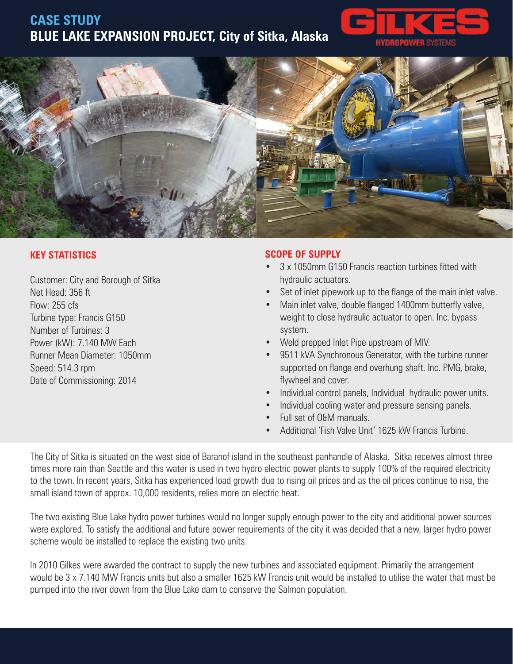## **CASE STUDY BLUE LAKE EXPANSION PROJECT, City of Sitka, Alaska**





## **KEY STATISTICS**

Customer: City and Borough of Sitka Net Head: 356 ft Flow: 255 cfs Turbine type: Francis G150 Number of Turbines: 3 Power (kW): 7.140 MW Each Runner Mean Diameter: 1050mm Speed: 514.3 rpm Date of Commissioning: 2014

## **SCOPE OF SUPPLY**

- 3 x 1050mm G150 Francis reaction turbines fitted with hydraulic actuators.
- Set of inlet pipework up to the flange of the main inlet valve.
- Main inlet valve, double flanged 1400mm butterfly valve, weight to close hydraulic actuator to open. Inc. bypass system.
- Weld prepped Inlet Pipe upstream of MIV.
- 9511 kVA Synchronous Generator, with the turbine runner supported on flange end overhung shaft. Inc. PMG, brake, flywheel and cover.
- Individual control panels, Individual hydraulic power units.
- Individual cooling water and pressure sensing panels.
- Full set of O&M manuals.
- Additional 'Fish Valve Unit' 1625 kW Francis Turbine.

The City of Sitka is situated on the west side of Baranof island in the southeast panhandle of Alaska. Sitka receives almost three times more rain than Seattle and this water is used in two hydro electric power plants to supply 100% of the required electricity to the town. In recent years, Sitka has experienced load growth due to rising oil prices and as the oil prices continue to rise, the small island town of approx. 10,000 residents, relies more on electric heat.

The two existing Blue Lake hydro power turbines would no longer supply enough power to the city and additional power sources were explored. To satisfy the additional and future power requirements of the city it was decided that a new, larger hydro power scheme would be installed to replace the existing two units.

In 2010 Gilkes were awarded the contract to supply the new turbines and associated equipment. Primarily the arrangement would be 3 x 7.140 MW Francis units but also a smaller 1625 kW Francis unit would be installed to utilise the water that must be pumped into the river down from the Blue Lake dam to conserve the Salmon population.